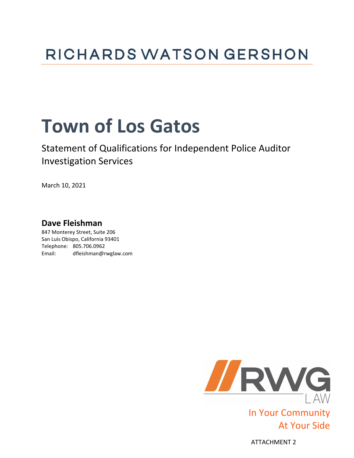## **RICHARDS WATSON GERSHON**

# **Town of Los Gatos**

## Statement of Qualifications for Independent Police Auditor Investigation Services

March 10, 2021

## **Dave Fleishman**

847 Monterey Street, Suite 206 San Luis Obispo, California 93401 Telephone: 805.706.0962 Email: dfleishman@rwglaw.com



ATTACHMENT 2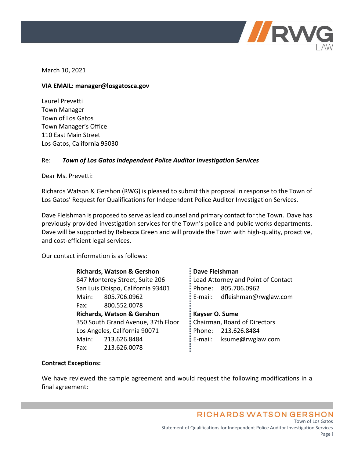

March 10, 2021

### **VIA EMAIL: manager@losgatosca.gov**

Laurel Prevetti Town Manager Town of Los Gatos Town Manager's Office 110 East Main Street Los Gatos, California 95030

### Re: *Town of Los Gatos Independent Police Auditor Investigation Services*

Dear Ms. Prevetti:

Richards Watson & Gershon (RWG) is pleased to submit this proposal in response to the Town of Los Gatos' Request for Qualifications for Independent Police Auditor Investigation Services.

Dave Fleishman is proposed to serve as lead counsel and primary contact for the Town. Dave has previously provided investigation services for the Town's police and public works departments. Dave will be supported by Rebecca Green and will provide the Town with high-quality, proactive, and cost-efficient legal services.

Our contact information is as follows:

**Richards, Watson & Gershon** 847 Monterey Street, Suite 206 San Luis Obispo, California 93401 Main: 805.706.0962 Fax: 800.552.0078 **Richards, Watson & Gershon** 350 South Grand Avenue, 37th Floor Los Angeles, California 90071 Main: 213.626.8484 Fax: 213.626.0078

**Dave Fleishman** Lead Attorney and Point of Contact Phone: 805.706.0962 E-mail: dfleishman@rwglaw.com

**Kayser O. Sume** Chairman, Board of Directors Phone: 213.626.8484 E-mail: ksume@rwglaw.com

### **Contract Exceptions:**

We have reviewed the sample agreement and would request the following modifications in a final agreement:

> **RICHARDS WATSON GERSHON** Town of Los Gatos Statement of Qualifications for Independent Police Auditor Investigation Services Page i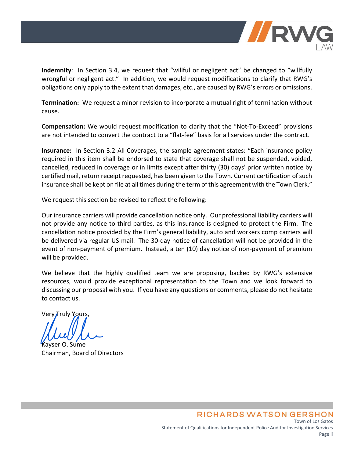

**Indemnity**: In Section 3.4, we request that "willful or negligent act" be changed to "willfully wrongful or negligent act." In addition, we would request modifications to clarify that RWG's obligations only apply to the extent that damages, etc., are caused by RWG's errors or omissions.

**Termination:** We request a minor revision to incorporate a mutual right of termination without cause.

**Compensation:** We would request modification to clarify that the "Not-To-Exceed" provisions are not intended to convert the contract to a "flat-fee" basis for all services under the contract.

**Insurance:** In Section 3.2 All Coverages, the sample agreement states: "Each insurance policy required in this item shall be endorsed to state that coverage shall not be suspended, voided, cancelled, reduced in coverage or in limits except after thirty (30) days' prior written notice by certified mail, return receipt requested, has been given to the Town. Current certification of such insurance shall be kept on file at all times during the term of this agreement with the Town Clerk."

We request this section be revised to reflect the following:

Our insurance carriers will provide cancellation notice only. Our professional liability carriers will not provide any notice to third parties, as this insurance is designed to protect the Firm. The cancellation notice provided by the Firm's general liability, auto and workers comp carriers will be delivered via regular US mail. The 30-day notice of cancellation will not be provided in the event of non-payment of premium. Instead, a ten (10) day notice of non-payment of premium will be provided.

We believe that the highly qualified team we are proposing, backed by RWG's extensive resources, would provide exceptional representation to the Town and we look forward to discussing our proposal with you. If you have any questions or comments, please do not hesitate to contact us.

Very Truly Yours,

O. Sume Chairman, Board of Directors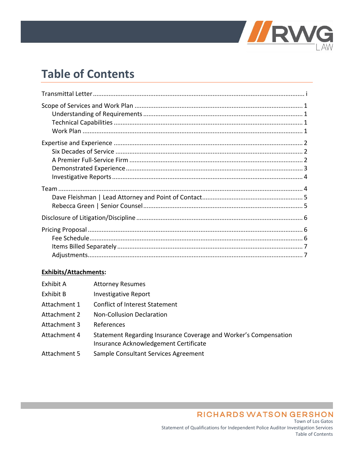

## **Table of Contents**

### Exhibits/Attachments:

| Exhibit A    | <b>Attorney Resumes</b>                                                                                   |
|--------------|-----------------------------------------------------------------------------------------------------------|
| Exhibit B    | <b>Investigative Report</b>                                                                               |
| Attachment 1 | <b>Conflict of Interest Statement</b>                                                                     |
| Attachment 2 | <b>Non-Collusion Declaration</b>                                                                          |
| Attachment 3 | References                                                                                                |
| Attachment 4 | Statement Regarding Insurance Coverage and Worker's Compensation<br>Insurance Acknowledgement Certificate |
| Attachment 5 | Sample Consultant Services Agreement                                                                      |

**RICHARDS WATSON GERSHON** Town of Los Gatos Statement of Qualifications for Independent Police Auditor Investigation Services Table of Contents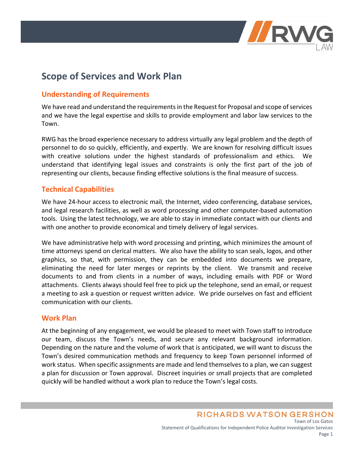

## **Scope of Services and Work Plan**

### **Understanding of Requirements**

We have read and understand the requirements in the Request for Proposal and scope of services and we have the legal expertise and skills to provide employment and labor law services to the Town.

RWG has the broad experience necessary to address virtually any legal problem and the depth of personnel to do so quickly, efficiently, and expertly. We are known for resolving difficult issues with creative solutions under the highest standards of professionalism and ethics. We understand that identifying legal issues and constraints is only the first part of the job of representing our clients, because finding effective solutions is the final measure of success.

### **Technical Capabilities**

We have 24-hour access to electronic mail, the Internet, video conferencing, database services, and legal research facilities, as well as word processing and other computer-based automation tools. Using the latest technology, we are able to stay in immediate contact with our clients and with one another to provide economical and timely delivery of legal services.

We have administrative help with word processing and printing, which minimizes the amount of time attorneys spend on clerical matters. We also have the ability to scan seals, logos, and other graphics, so that, with permission, they can be embedded into documents we prepare, eliminating the need for later merges or reprints by the client. We transmit and receive documents to and from clients in a number of ways, including emails with PDF or Word attachments. Clients always should feel free to pick up the telephone, send an email, or request a meeting to ask a question or request written advice. We pride ourselves on fast and efficient communication with our clients.

### **Work Plan**

At the beginning of any engagement, we would be pleased to meet with Town staff to introduce our team, discuss the Town's needs, and secure any relevant background information. Depending on the nature and the volume of work that is anticipated, we will want to discuss the Town's desired communication methods and frequency to keep Town personnel informed of work status. When specific assignments are made and lend themselves to a plan, we can suggest a plan for discussion or Town approval. Discreet inquiries or small projects that are completed quickly will be handled without a work plan to reduce the Town's legal costs.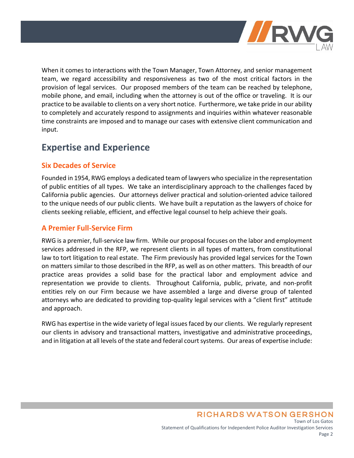

When it comes to interactions with the Town Manager, Town Attorney, and senior management team, we regard accessibility and responsiveness as two of the most critical factors in the provision of legal services. Our proposed members of the team can be reached by telephone, mobile phone, and email, including when the attorney is out of the office or traveling. It is our practice to be available to clients on a very short notice. Furthermore, we take pride in our ability to completely and accurately respond to assignments and inquiries within whatever reasonable time constraints are imposed and to manage our cases with extensive client communication and input.

## **Expertise and Experience**

### **Six Decades of Service**

Founded in 1954, RWG employs a dedicated team of lawyers who specialize in the representation of public entities of all types. We take an interdisciplinary approach to the challenges faced by California public agencies. Our attorneys deliver practical and solution-oriented advice tailored to the unique needs of our public clients. We have built a reputation as the lawyers of choice for clients seeking reliable, efficient, and effective legal counsel to help achieve their goals.

### **A Premier Full-Service Firm**

RWG is a premier, full-service law firm. While our proposal focuses on the labor and employment services addressed in the RFP, we represent clients in all types of matters, from constitutional law to tort litigation to real estate. The Firm previously has provided legal services for the Town on matters similar to those described in the RFP, as well as on other matters. This breadth of our practice areas provides a solid base for the practical labor and employment advice and representation we provide to clients. Throughout California, public, private, and non-profit entities rely on our Firm because we have assembled a large and diverse group of talented attorneys who are dedicated to providing top-quality legal services with a "client first" attitude and approach.

RWG has expertise in the wide variety of legal issues faced by our clients. We regularly represent our clients in advisory and transactional matters, investigative and administrative proceedings, and in litigation at all levels of the state and federal court systems. Our areas of expertise include: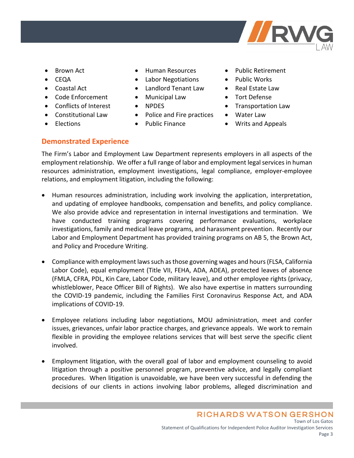

- Brown Act
- CEQA
- Coastal Act
- Code Enforcement
- Conflicts of Interest
- Constitutional Law
- Elections
- Human Resources
- Labor Negotiations
- Landlord Tenant Law
- Municipal Law
- NPDES
- Police and Fire practices
- Public Finance
- Public Retirement
- Public Works
- Real Estate Law
- Tort Defense
- Transportation Law
- Water Law
- Writs and Appeals

### **Demonstrated Experience**

The Firm's Labor and Employment Law Department represents employers in all aspects of the employment relationship. We offer a full range of labor and employment legal services in human resources administration, employment investigations, legal compliance, employer-employee relations, and employment litigation, including the following:

- Human resources administration, including work involving the application, interpretation, and updating of employee handbooks, compensation and benefits, and policy compliance. We also provide advice and representation in internal investigations and termination. We have conducted training programs covering performance evaluations, workplace investigations, family and medical leave programs, and harassment prevention. Recently our Labor and Employment Department has provided training programs on AB 5, the Brown Act, and Policy and Procedure Writing.
- Compliance with employment laws such as those governing wages and hours (FLSA, California Labor Code), equal employment (Title VII, FEHA, ADA, ADEA), protected leaves of absence (FMLA, CFRA, PDL, Kin Care, Labor Code, military leave), and other employee rights (privacy, whistleblower, Peace Officer Bill of Rights). We also have expertise in matters surrounding the COVID-19 pandemic, including the Families First Coronavirus Response Act, and ADA implications of COVID-19.
- Employee relations including labor negotiations, MOU administration, meet and confer issues, grievances, unfair labor practice charges, and grievance appeals. We work to remain flexible in providing the employee relations services that will best serve the specific client involved.
- Employment litigation, with the overall goal of labor and employment counseling to avoid litigation through a positive personnel program, preventive advice, and legally compliant procedures. When litigation is unavoidable, we have been very successful in defending the decisions of our clients in actions involving labor problems, alleged discrimination and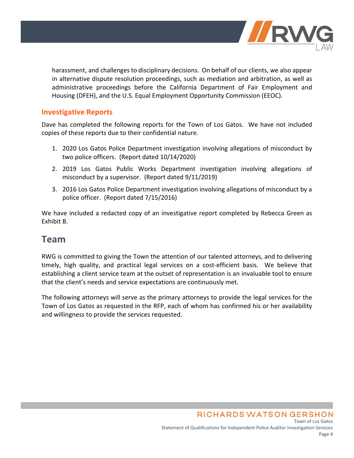

harassment, and challenges to disciplinary decisions. On behalf of our clients, we also appear in alternative dispute resolution proceedings, such as mediation and arbitration, as well as administrative proceedings before the California Department of Fair Employment and Housing (DFEH), and the U.S. Equal Employment Opportunity Commission (EEOC).

### **Investigative Reports**

Dave has completed the following reports for the Town of Los Gatos. We have not included copies of these reports due to their confidential nature.

- 1. 2020 Los Gatos Police Department investigation involving allegations of misconduct by two police officers. (Report dated 10/14/2020)
- 2. 2019 Los Gatos Public Works Department investigation involving allegations of misconduct by a supervisor. (Report dated 9/11/2019)
- 3. 2016 Los Gatos Police Department investigation involving allegations of misconduct by a police officer. (Report dated 7/15/2016)

We have included a redacted copy of an investigative report completed by Rebecca Green as Exhibit B.

## **Team**

RWG is committed to giving the Town the attention of our talented attorneys, and to delivering timely, high quality, and practical legal services on a cost-efficient basis. We believe that establishing a client service team at the outset of representation is an invaluable tool to ensure that the client's needs and service expectations are continuously met.

The following attorneys will serve as the primary attorneys to provide the legal services for the Town of Los Gatos as requested in the RFP, each of whom has confirmed his or her availability and willingness to provide the services requested.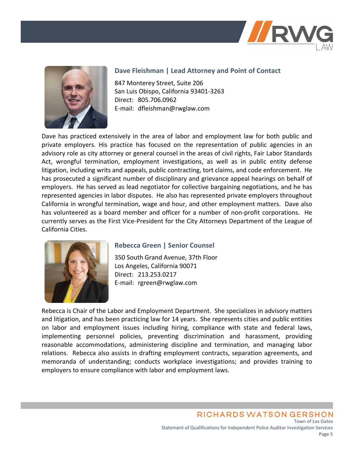



### **Dave Fleishman | Lead Attorney and Point of Contact**

847 Monterey Street, Suite 206 San Luis Obispo, California 93401-3263 Direct: 805.706.0962 E-mail: dfleishman@rwglaw.com

Dave has practiced extensively in the area of labor and employment law for both public and private employers. His practice has focused on the representation of public agencies in an advisory role as city attorney or general counsel in the areas of civil rights, Fair Labor Standards Act, wrongful termination, employment investigations, as well as in public entity defense litigation, including writs and appeals, public contracting, tort claims, and code enforcement. He has prosecuted a significant number of disciplinary and grievance appeal hearings on behalf of employers. He has served as lead negotiator for collective bargaining negotiations, and he has represented agencies in labor disputes. He also has represented private employers throughout California in wrongful termination, wage and hour, and other employment matters. Dave also has volunteered as a board member and officer for a number of non-profit corporations. He currently serves as the First Vice-President for the City Attorneys Department of the League of California Cities.



### **Rebecca Green | Senior Counsel**

350 South Grand Avenue, 37th Floor Los Angeles, California 90071 Direct: 213.253.0217 E-mail: rgreen@rwglaw.com

Rebecca is Chair of the Labor and Employment Department. She specializes in advisory matters and litigation, and has been practicing law for 14 years. She represents cities and public entities on labor and employment issues including hiring, compliance with state and federal laws, implementing personnel policies, preventing discrimination and harassment, providing reasonable accommodations, administering discipline and termination, and managing labor relations. Rebecca also assists in drafting employment contracts, separation agreements, and memoranda of understanding; conducts workplace investigations; and provides training to employers to ensure compliance with labor and employment laws.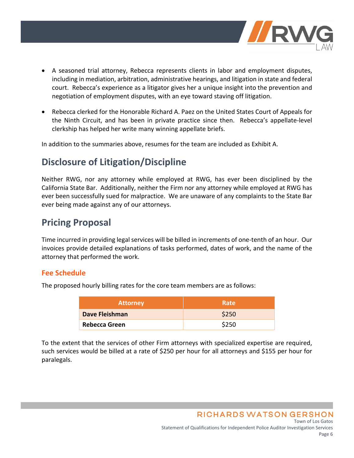

- A seasoned trial attorney, Rebecca represents clients in labor and employment disputes, including in mediation, arbitration, administrative hearings, and litigation in state and federal court. Rebecca's experience as a litigator gives her a unique insight into the prevention and negotiation of employment disputes, with an eye toward staving off litigation.
- Rebecca clerked for the Honorable Richard A. Paez on the United States Court of Appeals for the Ninth Circuit, and has been in private practice since then. Rebecca's appellate-level clerkship has helped her write many winning appellate briefs.

In addition to the summaries above, resumes for the team are included as Exhibit A.

## **Disclosure of Litigation/Discipline**

Neither RWG, nor any attorney while employed at RWG, has ever been disciplined by the California State Bar. Additionally, neither the Firm nor any attorney while employed at RWG has ever been successfully sued for malpractice. We are unaware of any complaints to the State Bar ever being made against any of our attorneys.

## **Pricing Proposal**

Time incurred in providing legal services will be billed in increments of one-tenth of an hour. Our invoices provide detailed explanations of tasks performed, dates of work, and the name of the attorney that performed the work.

### **Fee Schedule**

The proposed hourly billing rates for the core team members are as follows:

| <b>Attorney</b> | Rate  |
|-----------------|-------|
| Dave Fleishman  | \$250 |
| Rebecca Green   | \$250 |

To the extent that the services of other Firm attorneys with specialized expertise are required, such services would be billed at a rate of \$250 per hour for all attorneys and \$155 per hour for paralegals.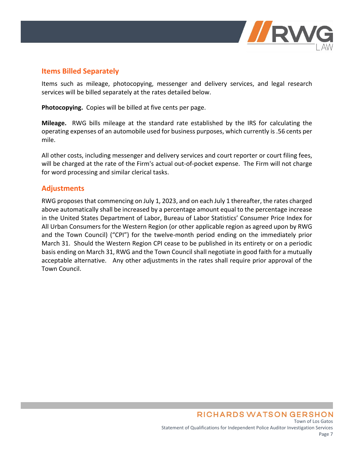

### **Items Billed Separately**

Items such as mileage, photocopying, messenger and delivery services, and legal research services will be billed separately at the rates detailed below.

**Photocopying.** Copies will be billed at five cents per page.

**Mileage.** RWG bills mileage at the standard rate established by the IRS for calculating the operating expenses of an automobile used for business purposes, which currently is .56 cents per mile.

All other costs, including messenger and delivery services and court reporter or court filing fees, will be charged at the rate of the Firm's actual out-of-pocket expense. The Firm will not charge for word processing and similar clerical tasks.

### **Adjustments**

RWG proposes that commencing on July 1, 2023, and on each July 1 thereafter, the rates charged above automatically shall be increased by a percentage amount equal to the percentage increase in the United States Department of Labor, Bureau of Labor Statistics' Consumer Price Index for All Urban Consumers for the Western Region (or other applicable region as agreed upon by RWG and the Town Council) ("CPI") for the twelve-month period ending on the immediately prior March 31. Should the Western Region CPI cease to be published in its entirety or on a periodic basis ending on March 31, RWG and the Town Council shall negotiate in good faith for a mutually acceptable alternative. Any other adjustments in the rates shall require prior approval of the Town Council.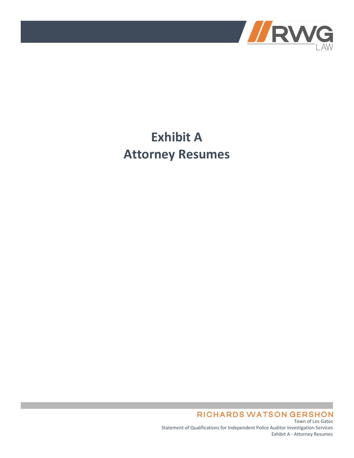

## **Exhibit A Attorney Resumes**

**RICHARDS WATSON GERSHON** Town of Los Gatos

Statement of Qualifications for Independent Police Auditor Investigation Services Exhibit A - Attorney Resumes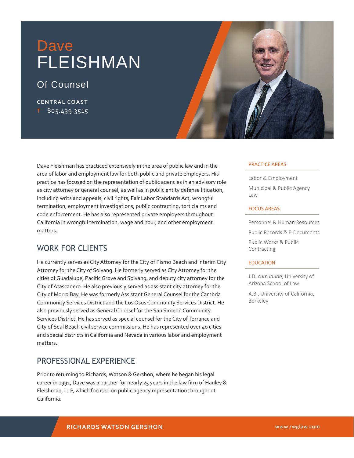## Dave FLEISHMAN

## Of Counsel

**CENTRAL COAST T** 805.439.3515



## WORK FOR CLIENTS

He currently serves as City Attorney for the City of Pismo Beach and interim City Attorney for the City of Solvang. He formerly served as City Attorney for the cities of Guadalupe, Pacific Grove and Solvang, and deputy city attorney for the City of Atascadero. He also previously served as assistant city attorney for the City of Morro Bay. He was formerly Assistant General Counsel for the Cambria Community Services District and the Los Osos Community Services District. He also previously served as General Counsel for the San Simeon Community Services District. He has served as special counsel for the City of Torrance and City of Seal Beach civil service commissions. He has represented over 40 cities and special districts in California and Nevada in various labor and employment matters.

## PROFESSIONAL EXPERIENCE

Prior to returning to Richards, Watson & Gershon, where he began his legal career in 1991, Dave was a partner for nearly 25 years in the law firm of Hanley & Fleishman, LLP, which focused on public agency representation throughout California.

#### PRACTICE AREAS

Labor & Employment Municipal & Public Agency Law

#### FOCUS AREAS

Personnel & Human Resources Public Records & E-Documents Public Works & Public

Contracting

#### EDUCATION

l

J.D. *cum laude*, University of Arizona School of Law

A.B., University of California, Berkeley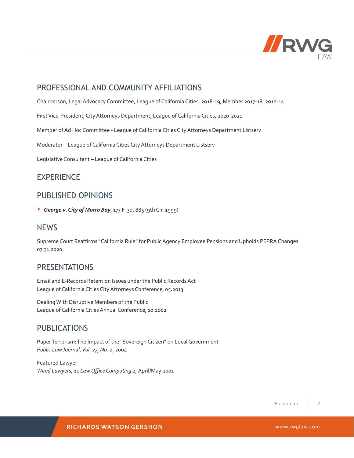

### PROFESSIONAL AND COMMUNITY AFFILIATIONS

Chairperson, Legal Advocacy Committee, League of California Cities, 2018-19, Member 2017-18, 2012-14

First Vice-President, City Attorneys Department, League of California Cities, 2020-2021

Member of Ad Hoc Committee - League of California Cities City Attorneys Department Listserv

Moderator – League of California Cities City Attorneys Department Listserv

Legislative Consultant – League of California Cities

### **EXPERIENCE**

### PUBLISHED OPINIONS

▶ *George v. City of Morro Bay*, 177 F. 3d. 885 (9th Cir. 1999)

### **NFWS**

Supreme Court Reaffirms "California Rule" for Public Agency Employee Pensions and Upholds PEPRA Changes 07.31.2020

### **PRESENTATIONS**

Email and E-Records Retention Issues under the Public Records Act League of California Cities City Attorneys Conference, 05.2013

Dealing With Disruptive Members of the Public League of California Cities Annual Conference, 10.2002

### PUBLICATIONS

Paper Terrorism: The Impact of the "Sovereign Citizen" on Local Government *Public Law Journal, Vol. 27, No. 2*, 2004

Featured Lawyer *Wired Lawyers, 11 Law Office Computing 2*, April/May 2001

> 2 Fleishman

**RICHARDS WATSON GERSHON** www.rwglaw.com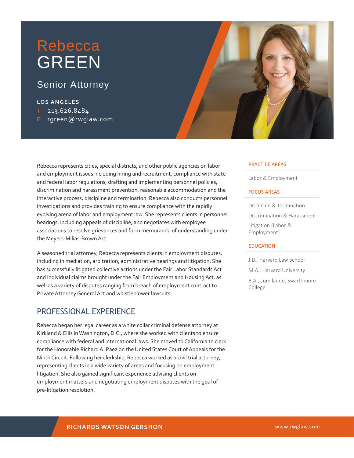## Rebecca GREEN

## Senior Attorney

### **LOS ANGELES**

- **T** 213.626.8484
- **E** rgreen@rwglaw.com



Rebecca represents cities, special districts, and other public agencies on labor and employment issues including hiring and recruitment, compliance with state and federal labor regulations, drafting and implementing personnel policies, discrimination and harassment prevention, reasonable accommodation and the interactive process, discipline and termination. Rebecca also conducts personnel investigations and provides training to ensure compliance with the rapidly evolving arena of labor and employment law. She represents clients in personnel hearings, including appeals of discipline, and negotiates with employee associations to resolve grievances and form memoranda of understanding under the Meyers-Milias-Brown Act.

A seasoned trial attorney, Rebecca represents clients in employment disputes, including in mediation, arbitration, administrative hearings and litigation. She has successfully litigated collective actions under the Fair Labor Standards Act and individual claims brought under the Fair Employment and Housing Act, as well as a variety of disputes ranging from breach of employment contract to Private Attorney General Act and whistleblower lawsuits.

## PROFESSIONAL EXPERIENCE

Rebecca began her legal career as a white collar criminal defense attorney at Kirkland & Ellis in Washington, D.C., where she worked with clients to ensure compliance with federal and international laws. She moved to California to clerk for the Honorable Richard A. Paez on the United States Court of Appeals for the Ninth Circuit. Following her clerkship, Rebecca worked as a civil trial attorney, representing clients in a wide variety of areas and focusing on employment litigation. She also gained significant experience advising clients on employment matters and negotiating employment disputes with the goal of pre-litigation resolution.

#### PRACTICE AREAS

l

l

l

Labor & Employment

### FOCUS AREAS

Discipline & Termination Discrimination & Harassment Litigation (Labor & Employment)

### EDUCATION

J.D., Harvard Law School M.A., Harvard University B.A., cum laude, Swarthmore College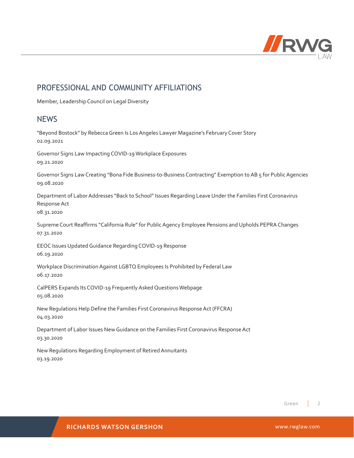

### PROFESSIONAL AND COMMUNITY AFFILIATIONS

Member, Leadership Council on Legal Diversity

### **NFWS**

"Beyond Bostock" by Rebecca Green Is Los Angeles Lawyer Magazine's February Cover Story 02.09.2021

Governor Signs Law Impacting COVID-19 Workplace Exposures 09.21.2020

Governor Signs Law Creating "Bona Fide Business-to-Business Contracting" Exemption to AB 5 for Public Agencies 09.08.2020

Department of Labor Addresses "Back to School" Issues Regarding Leave Under the Families First Coronavirus Response Act

08.31.2020

Supreme Court Reaffirms "California Rule" for Public Agency Employee Pensions and Upholds PEPRA Changes 07.31.2020

EEOC Issues Updated Guidance Regarding COVID-19 Response 06.19.2020

Workplace Discrimination Against LGBTQ Employees Is Prohibited by Federal Law 06.17.2020

CalPERS Expands Its COVID-19 Frequently Asked Questions Webpage 05.08.2020

New Regulations Help Define the Families First Coronavirus Response Act (FFCRA) 04.03.2020

Department of Labor Issues New Guidance on the Families First Coronavirus Response Act 03.30.2020

New Regulations Regarding Employment of Retired Annuitants 03.19.2020

> 2 Green

**RICHARDS WATSON GERSHON** www.rwglaw.com